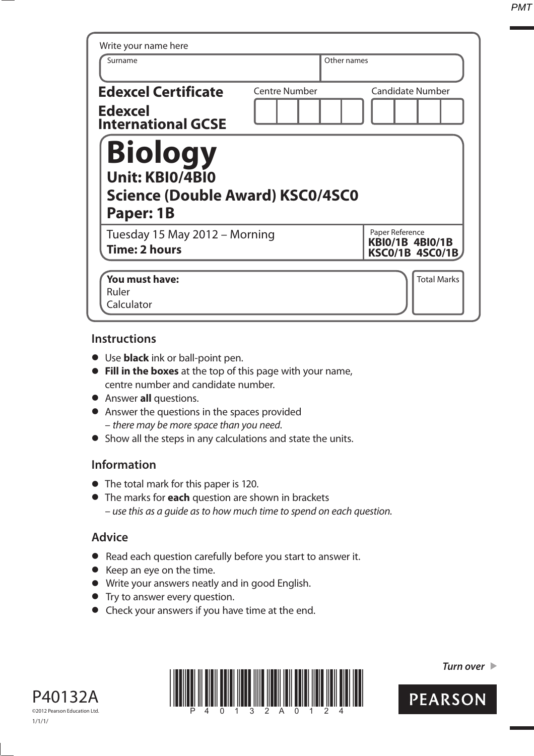*PMT*

| Write your name here                                                                      |                      |             |                                                                     |
|-------------------------------------------------------------------------------------------|----------------------|-------------|---------------------------------------------------------------------|
| Surname                                                                                   |                      | Other names |                                                                     |
| <b>Edexcel Certificate</b><br><b>Edexcel</b><br><b>International GCSE</b>                 | <b>Centre Number</b> |             | <b>Candidate Number</b>                                             |
| <b>Biology</b><br><b>Unit: KBIO/4BIO</b><br>Science (Double Award) KSC0/4SC0<br>Paper: 1B |                      |             |                                                                     |
| Tuesday 15 May 2012 - Morning<br><b>Time: 2 hours</b>                                     |                      |             | Paper Reference<br><b>KBI0/1B 4BI0/1B</b><br><b>KSC0/1B 4SC0/1B</b> |
|                                                                                           |                      |             |                                                                     |

#### **Instructions**

- **t** Use **black** ink or ball-point pen.
- **Fill in the boxes** at the top of this page with your name, centre number and candidate number.
- **•** Answer **all** questions.
- **•** Answer the questions in the spaces provided – there may be more space than you need.
- **•** Show all the steps in any calculations and state the units.

## **Information**

- **•** The total mark for this paper is 120.
- **t** The marks for **each** question are shown in brackets – use this as a guide as to how much time to spend on each question.

## **Advice**

- **t** Read each question carefully before you start to answer it.
- **t** Keep an eye on the time.
- **t** Write your answers neatly and in good English.
- **•** Try to answer every question.
- **•** Check your answers if you have time at the end.





*Turn over* 

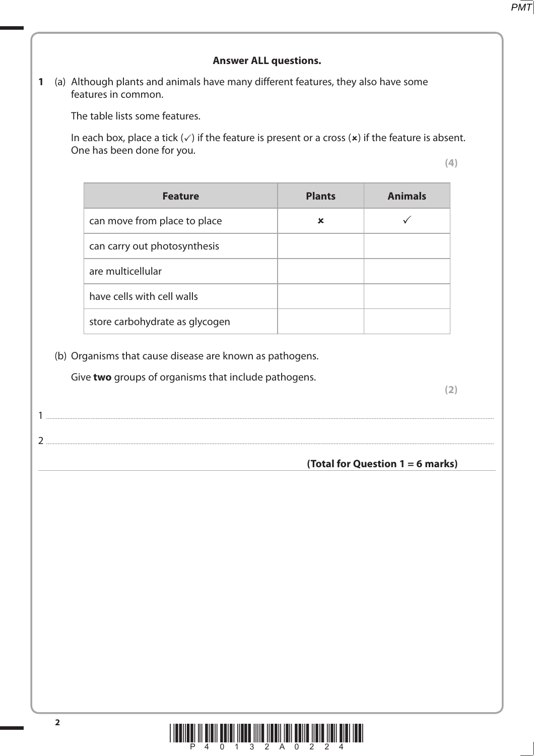#### **Answer ALL questions.**

**1** (a) Although plants and animals have many different features, they also have some features in common.

The table lists some features.

In each box, place a tick  $(\checkmark)$  if the feature is present or a cross  $(\star)$  if the feature is absent. One has been done for you.

**(4)**

| <b>Feature</b>                 | <b>Plants</b> | <b>Animals</b> |
|--------------------------------|---------------|----------------|
| can move from place to place   | ×             |                |
| can carry out photosynthesis   |               |                |
| are multicellular              |               |                |
| have cells with cell walls     |               |                |
| store carbohydrate as glycogen |               |                |

(b) Organisms that cause disease are known as pathogens.

1 ...............................................................................................................................................................................................................................................................................

Give **two** groups of organisms that include pathogens.

2 ...............................................................................................................................................................................................................................................................................

**(2)**

**(Total for Question 1 = 6 marks)**

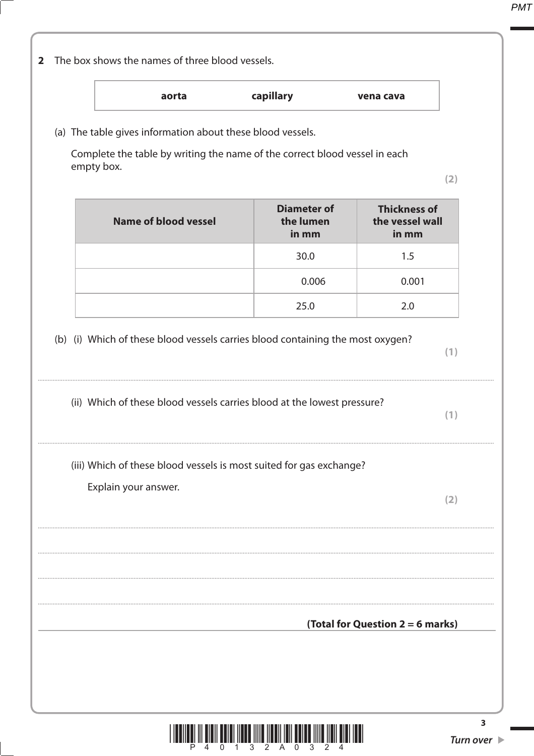$(2)$ 

 $(1)$ 

 $(1)$ 

 $(2)$ 

# capillary aorta vena cava (a) The table gives information about these blood vessels. Complete the table by writing the name of the correct blood vessel in each empty box. **Diameter of Thickness of Name of blood vessel** the vessel wall the lumen in mm in mm 30.0  $1.5$  $0.006$  $0.001$ 25.0  $2.0$ (b) (i) Which of these blood vessels carries blood containing the most oxygen? (ii) Which of these blood vessels carries blood at the lowest pressure? (iii) Which of these blood vessels is most suited for gas exchange? Explain your answer. (Total for Question  $2 = 6$  marks)

2 The box shows the names of three blood vessels.



 $\overline{\mathbf{3}}$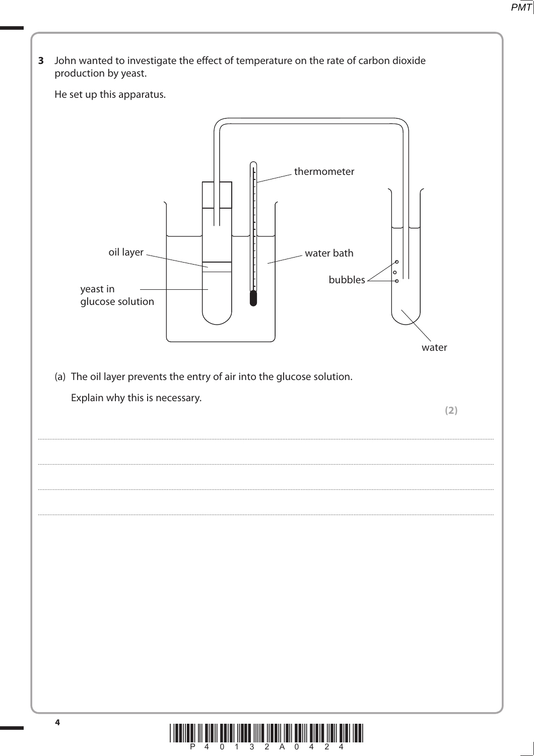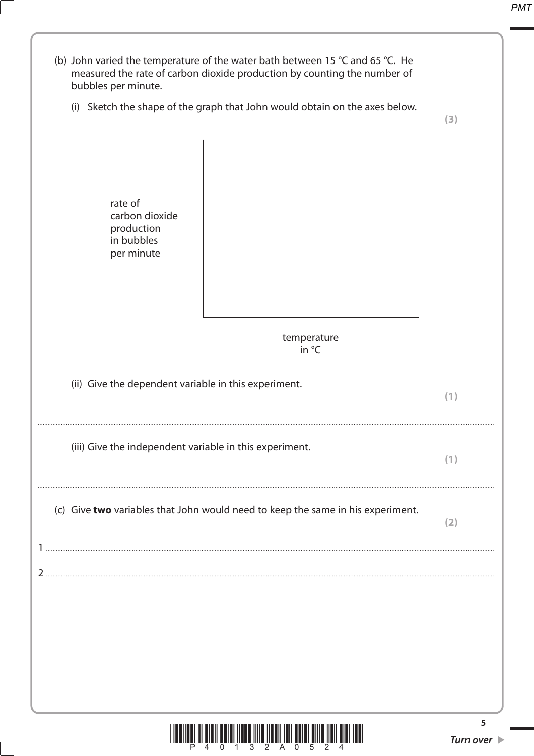| (b) John varied the temperature of the water bath between 15 °C and 65 °C. He<br>measured the rate of carbon dioxide production by counting the number of<br>bubbles per minute. |                                      |
|----------------------------------------------------------------------------------------------------------------------------------------------------------------------------------|--------------------------------------|
| (i) Sketch the shape of the graph that John would obtain on the axes below.                                                                                                      | (3)                                  |
| rate of<br>carbon dioxide<br>production<br>in bubbles<br>per minute                                                                                                              |                                      |
| temperature<br>in °C                                                                                                                                                             |                                      |
| (ii) Give the dependent variable in this experiment.                                                                                                                             | (1)                                  |
| (iii) Give the independent variable in this experiment.                                                                                                                          | (1)                                  |
| (c) Give two variables that John would need to keep the same in his experiment.                                                                                                  | (2)                                  |
|                                                                                                                                                                                  |                                      |
|                                                                                                                                                                                  |                                      |
|                                                                                                                                                                                  |                                      |
|                                                                                                                                                                                  | 5<br>Turn over $\blacktriangleright$ |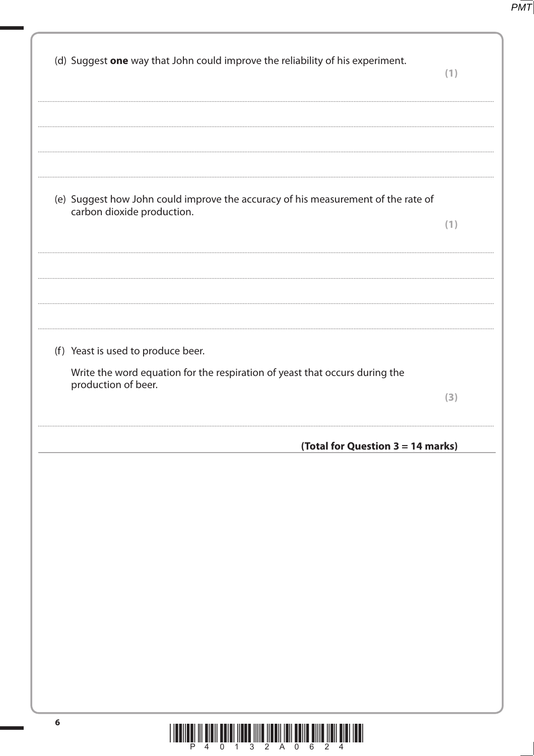$PMT$ 

| (d) Suggest one way that John could improve the reliability of his experiment.                                                           | (1) |
|------------------------------------------------------------------------------------------------------------------------------------------|-----|
| (e) Suggest how John could improve the accuracy of his measurement of the rate of<br>carbon dioxide production.                          | (1) |
| (f) Yeast is used to produce beer.<br>Write the word equation for the respiration of yeast that occurs during the<br>production of beer. | (3) |
| (Total for Question 3 = 14 marks)                                                                                                        |     |
|                                                                                                                                          |     |
| $\boldsymbol{6}$                                                                                                                         |     |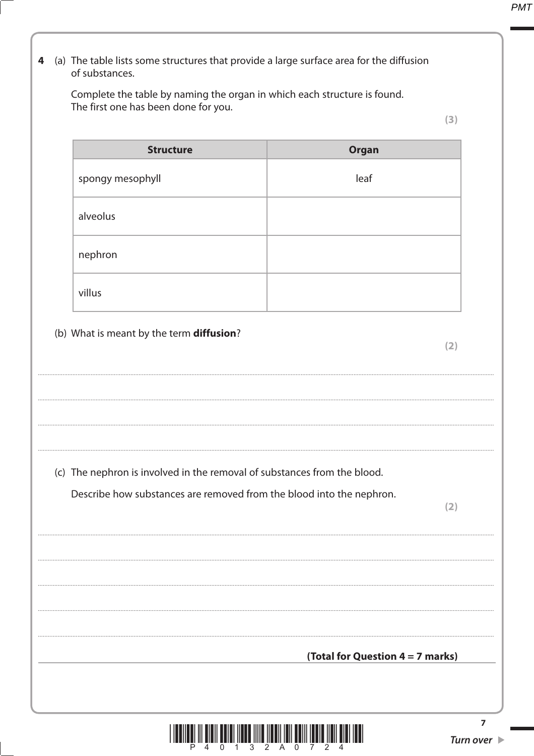# 4 (a) The table lists some structures that provide a large surface area for the diffusion of substances.

Complete the table by naming the organ in which each structure is found. The first one has been done for you.

 $(3)$ 

| <b>Structure</b> | Organ |
|------------------|-------|
| spongy mesophyll | leaf  |
| alveolus         |       |
| nephron          |       |
| villus           |       |

# (b) What is meant by the term diffusion?

 $(2)$ 

(c) The nephron is involved in the removal of substances from the blood.

Describe how substances are removed from the blood into the nephron.

 $(2)$ 

(Total for Question  $4 = 7$  marks)

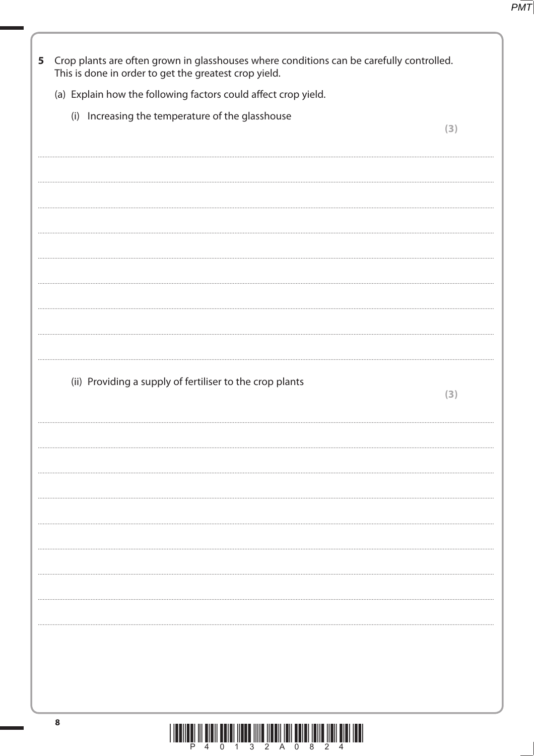| 5 | Crop plants are often grown in glasshouses where conditions can be carefully controlled.<br>This is done in order to get the greatest crop yield. |     |
|---|---------------------------------------------------------------------------------------------------------------------------------------------------|-----|
|   | (a) Explain how the following factors could affect crop yield.                                                                                    |     |
|   | (i) Increasing the temperature of the glasshouse                                                                                                  |     |
|   |                                                                                                                                                   | (3) |
|   |                                                                                                                                                   |     |
|   |                                                                                                                                                   |     |
|   |                                                                                                                                                   |     |
|   |                                                                                                                                                   |     |
|   |                                                                                                                                                   |     |
|   |                                                                                                                                                   |     |
|   |                                                                                                                                                   |     |
|   |                                                                                                                                                   |     |
|   |                                                                                                                                                   |     |
|   |                                                                                                                                                   |     |
|   | (ii) Providing a supply of fertiliser to the crop plants                                                                                          |     |
|   |                                                                                                                                                   | (3) |
|   |                                                                                                                                                   |     |
|   |                                                                                                                                                   |     |
|   |                                                                                                                                                   |     |
|   |                                                                                                                                                   |     |
|   |                                                                                                                                                   |     |
|   |                                                                                                                                                   |     |
|   |                                                                                                                                                   |     |
|   |                                                                                                                                                   |     |
|   |                                                                                                                                                   |     |
|   |                                                                                                                                                   |     |
|   |                                                                                                                                                   |     |
|   |                                                                                                                                                   |     |
|   |                                                                                                                                                   |     |
|   | 8                                                                                                                                                 |     |
|   |                                                                                                                                                   |     |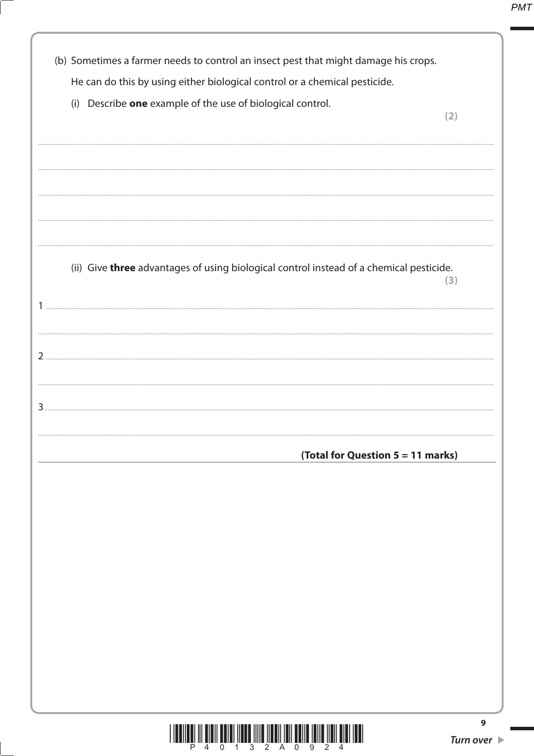| (b) Sometimes a farmer needs to control an insect pest that might damage his crops.     |                                      |
|-----------------------------------------------------------------------------------------|--------------------------------------|
| He can do this by using either biological control or a chemical pesticide.              |                                      |
| (i) Describe one example of the use of biological control.                              | (2)                                  |
|                                                                                         |                                      |
|                                                                                         |                                      |
| (ii) Give three advantages of using biological control instead of a chemical pesticide. | 3)                                   |
|                                                                                         |                                      |
|                                                                                         |                                      |
| (Total for Question 5 = 11 marks)                                                       |                                      |
|                                                                                         |                                      |
|                                                                                         |                                      |
|                                                                                         |                                      |
|                                                                                         |                                      |
|                                                                                         |                                      |
|                                                                                         | 9<br>Turn over $\blacktriangleright$ |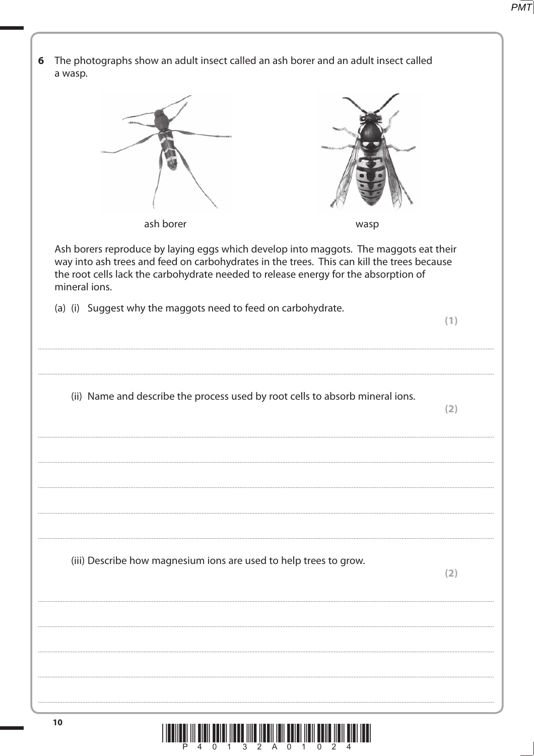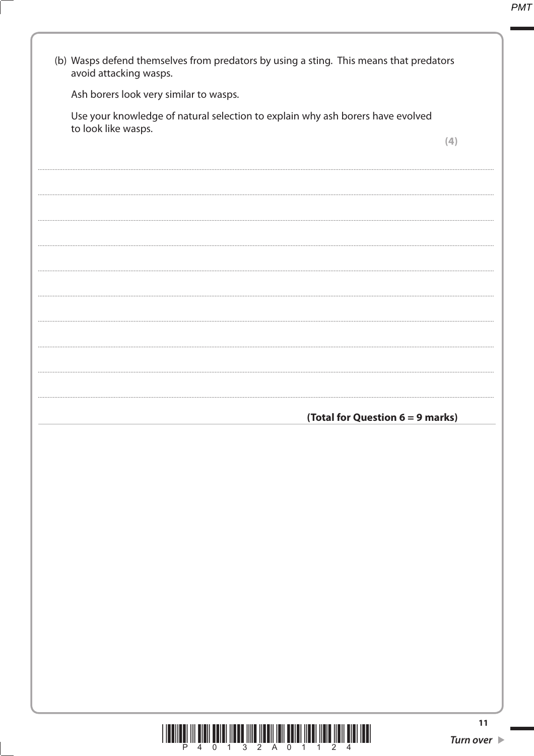| avoid attacking wasps.                                                                                |                                  |
|-------------------------------------------------------------------------------------------------------|----------------------------------|
| Ash borers look very similar to wasps.                                                                |                                  |
| Use your knowledge of natural selection to explain why ash borers have evolved<br>to look like wasps. |                                  |
|                                                                                                       | (4)                              |
|                                                                                                       |                                  |
|                                                                                                       |                                  |
|                                                                                                       |                                  |
|                                                                                                       |                                  |
|                                                                                                       |                                  |
|                                                                                                       |                                  |
|                                                                                                       |                                  |
|                                                                                                       |                                  |
|                                                                                                       |                                  |
|                                                                                                       |                                  |
|                                                                                                       |                                  |
|                                                                                                       |                                  |
|                                                                                                       |                                  |
|                                                                                                       |                                  |
|                                                                                                       |                                  |
|                                                                                                       |                                  |
|                                                                                                       | (Total for Question 6 = 9 marks) |
|                                                                                                       |                                  |
|                                                                                                       |                                  |
|                                                                                                       |                                  |
|                                                                                                       |                                  |
|                                                                                                       |                                  |
|                                                                                                       |                                  |
|                                                                                                       |                                  |
|                                                                                                       |                                  |
|                                                                                                       |                                  |
|                                                                                                       |                                  |
|                                                                                                       |                                  |
|                                                                                                       |                                  |
|                                                                                                       |                                  |
|                                                                                                       |                                  |
|                                                                                                       |                                  |
|                                                                                                       |                                  |

 $\begin{array}{c} \text{if} \ \text{if} \ \text{if} \ \text{if} \ \text{if} \ \text{if} \ \text{if} \ \text{if} \ \text{if} \ \text{if} \ \text{if} \ \text{if} \ \text{if} \ \text{if} \ \text{if} \ \text{if} \ \text{if} \ \text{if} \ \text{if} \ \text{if} \ \text{if} \ \text{if} \ \text{if} \ \text{if} \ \text{if} \ \text{if} \ \text{if} \ \text{if} \ \text{if} \ \text{if} \ \text{if} \ \text{if} \ \text{if} \ \text{if} \ \text{if} \ \text{$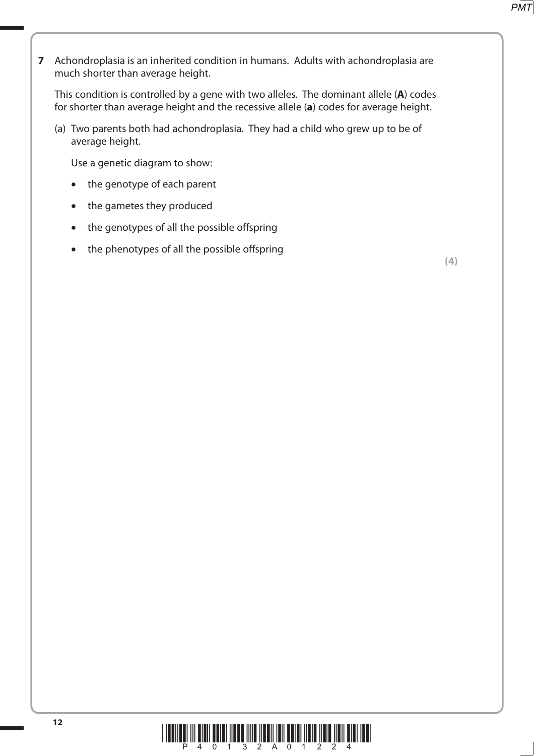**7** Achondroplasia is an inherited condition in humans. Adults with achondroplasia are much shorter than average height.

 This condition is controlled by a gene with two alleles. The dominant allele (**A**) codes for shorter than average height and the recessive allele (**a**) codes for average height.

 (a) Two parents both had achondroplasia. They had a child who grew up to be of average height.

Use a genetic diagram to show:

- the genotype of each parent
- the gametes they produced
- the genotypes of all the possible offspring
- the phenotypes of all the possible offspring

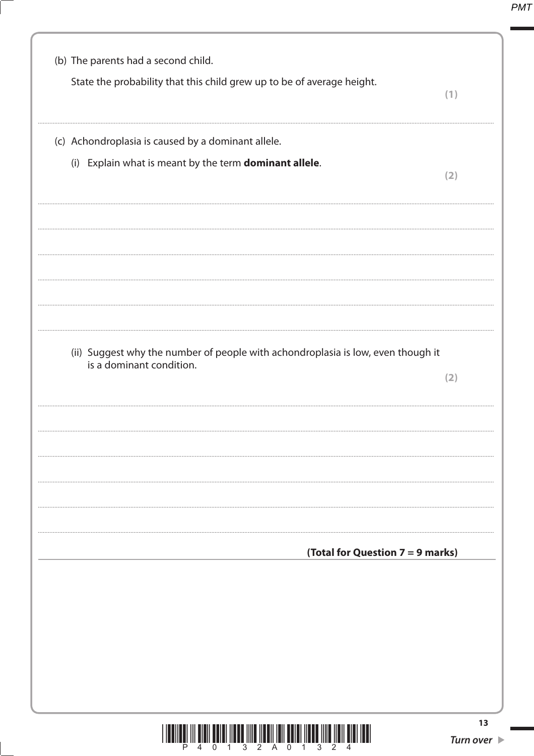| (b) The parents had a second child.<br>State the probability that this child grew up to be of average height. |     |
|---------------------------------------------------------------------------------------------------------------|-----|
|                                                                                                               | (1) |
| (c) Achondroplasia is caused by a dominant allele.                                                            |     |
| (i) Explain what is meant by the term dominant allele.                                                        | (2) |
|                                                                                                               |     |
|                                                                                                               |     |
|                                                                                                               |     |
| (ii) Suggest why the number of people with achondroplasia is low, even though it                              |     |
| is a dominant condition.                                                                                      | (2) |
|                                                                                                               |     |
|                                                                                                               |     |
|                                                                                                               |     |
|                                                                                                               |     |
| (Total for Question 7 = 9 marks)                                                                              |     |
|                                                                                                               |     |
|                                                                                                               |     |
|                                                                                                               |     |
|                                                                                                               |     |
|                                                                                                               | 13  |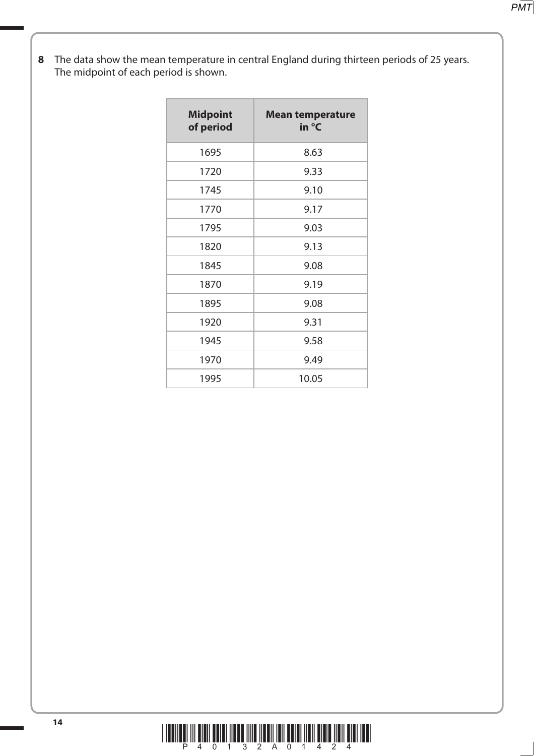**8** The data show the mean temperature in central England during thirteen periods of 25 years. The midpoint of each period is shown.

| <b>Midpoint</b><br>of period | <b>Mean temperature</b><br>in °C |
|------------------------------|----------------------------------|
| 1695                         | 8.63                             |
| 1720                         | 9.33                             |
| 1745                         | 9.10                             |
| 1770                         | 9.17                             |
| 1795                         | 9.03                             |
| 1820                         | 9.13                             |
| 1845                         | 9.08                             |
| 1870                         | 9.19                             |
| 1895                         | 9.08                             |
| 1920                         | 9.31                             |
| 1945                         | 9.58                             |
| 1970                         | 9.49                             |
| 1995                         | 10.05                            |

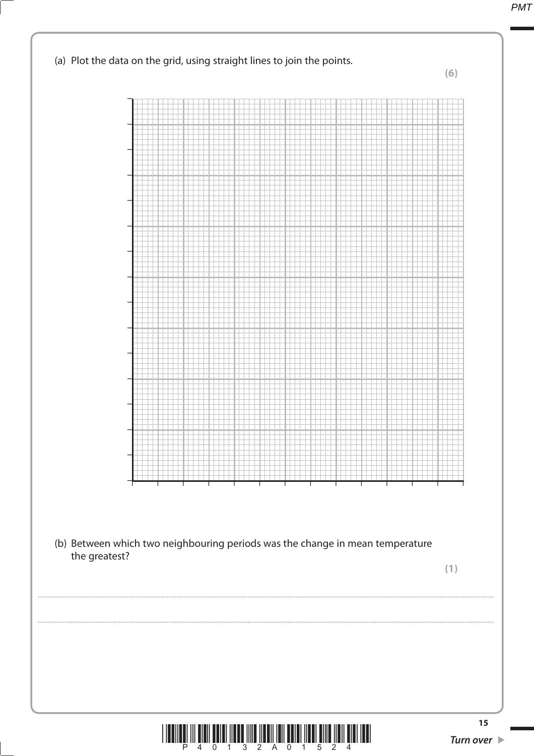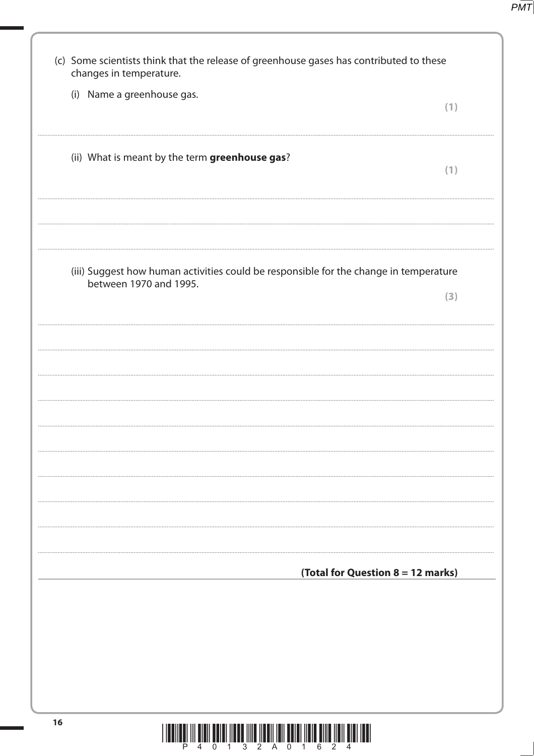| (c) Some scientists think that the release of greenhouse gases has contributed to these<br>changes in temperature. |     |
|--------------------------------------------------------------------------------------------------------------------|-----|
| (i) Name a greenhouse gas.                                                                                         | (1) |
| (ii) What is meant by the term greenhouse gas?                                                                     | (1) |
| (iii) Suggest how human activities could be responsible for the change in temperature                              |     |
| between 1970 and 1995.                                                                                             | (3) |
|                                                                                                                    |     |
|                                                                                                                    |     |
|                                                                                                                    |     |
|                                                                                                                    |     |
|                                                                                                                    |     |
|                                                                                                                    |     |
| (Total for Question 8 = 12 marks)                                                                                  |     |
|                                                                                                                    |     |
|                                                                                                                    |     |
|                                                                                                                    |     |
| 16                                                                                                                 |     |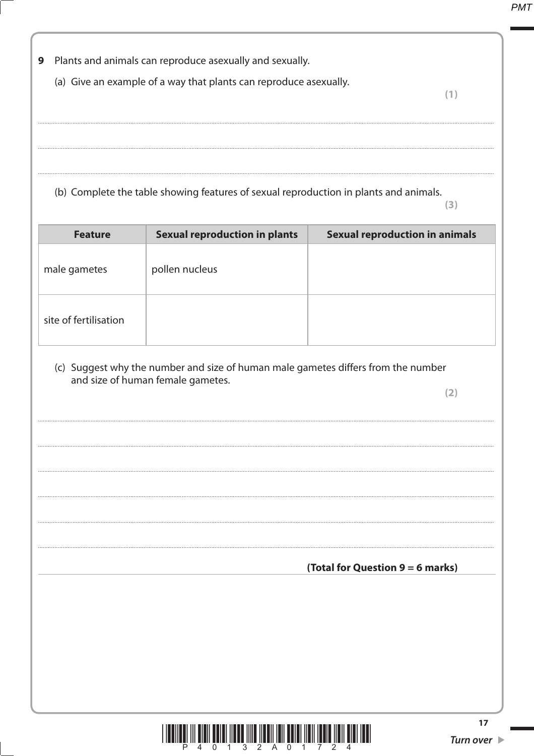| 9                     | Plants and animals can reproduce asexually and sexually.                                                               |                                       |                                       |
|-----------------------|------------------------------------------------------------------------------------------------------------------------|---------------------------------------|---------------------------------------|
|                       | (a) Give an example of a way that plants can reproduce asexually.                                                      |                                       | (1)                                   |
|                       |                                                                                                                        |                                       |                                       |
|                       |                                                                                                                        |                                       |                                       |
|                       | (b) Complete the table showing features of sexual reproduction in plants and animals.                                  |                                       | (3)                                   |
| <b>Feature</b>        | <b>Sexual reproduction in plants</b>                                                                                   | <b>Sexual reproduction in animals</b> |                                       |
| male gametes          | pollen nucleus                                                                                                         |                                       |                                       |
| site of fertilisation |                                                                                                                        |                                       |                                       |
|                       | (c) Suggest why the number and size of human male gametes differs from the number<br>and size of human female gametes. |                                       |                                       |
|                       |                                                                                                                        |                                       | (2)                                   |
|                       |                                                                                                                        |                                       |                                       |
|                       |                                                                                                                        |                                       |                                       |
|                       |                                                                                                                        |                                       |                                       |
|                       |                                                                                                                        |                                       |                                       |
|                       |                                                                                                                        | (Total for Question 9 = 6 marks)      |                                       |
|                       |                                                                                                                        |                                       |                                       |
|                       |                                                                                                                        |                                       |                                       |
|                       |                                                                                                                        |                                       |                                       |
|                       |                                                                                                                        |                                       |                                       |
|                       | IIIIII                                                                                                                 |                                       | 17<br>Turn over $\blacktriangleright$ |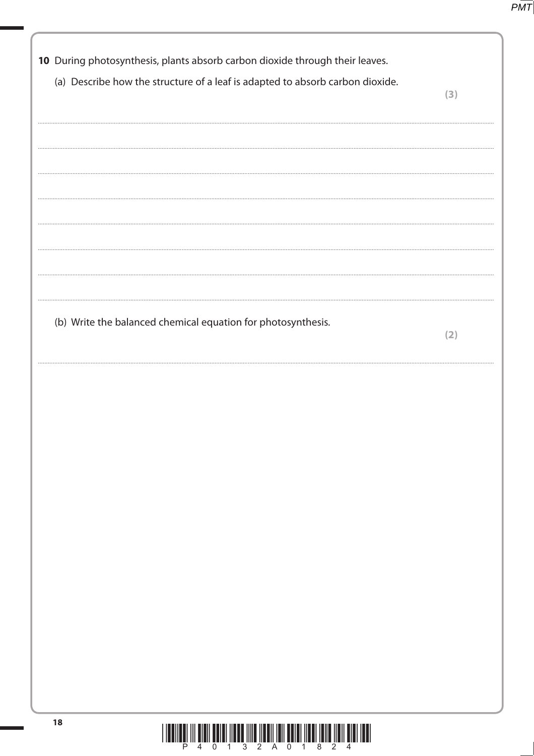| 10 During photosynthesis, plants absorb carbon dioxide through their leaves.  |     |
|-------------------------------------------------------------------------------|-----|
| (a) Describe how the structure of a leaf is adapted to absorb carbon dioxide. |     |
|                                                                               | (3) |
|                                                                               |     |
|                                                                               |     |
|                                                                               |     |
|                                                                               |     |
|                                                                               |     |
|                                                                               |     |
|                                                                               |     |
|                                                                               |     |
|                                                                               |     |
|                                                                               |     |
| (b) Write the balanced chemical equation for photosynthesis.                  | (2) |
|                                                                               |     |
|                                                                               |     |
|                                                                               |     |
|                                                                               |     |
|                                                                               |     |
|                                                                               |     |
|                                                                               |     |
|                                                                               |     |
|                                                                               |     |
|                                                                               |     |
|                                                                               |     |
|                                                                               |     |
|                                                                               |     |
|                                                                               |     |
|                                                                               |     |
|                                                                               |     |
|                                                                               |     |
|                                                                               |     |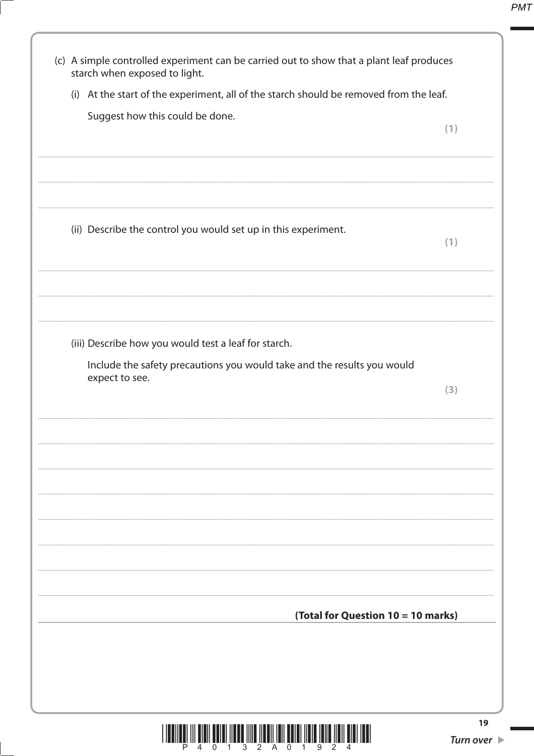| (c) A simple controlled experiment can be carried out to show that a plant leaf produces<br>starch when exposed to light. |     |
|---------------------------------------------------------------------------------------------------------------------------|-----|
| (i) At the start of the experiment, all of the starch should be removed from the leaf.                                    |     |
| Suggest how this could be done.                                                                                           |     |
|                                                                                                                           | (1) |
|                                                                                                                           |     |
|                                                                                                                           |     |
|                                                                                                                           |     |
| (ii) Describe the control you would set up in this experiment.                                                            |     |
|                                                                                                                           | (1) |
|                                                                                                                           |     |
|                                                                                                                           |     |
|                                                                                                                           |     |
|                                                                                                                           |     |
| (iii) Describe how you would test a leaf for starch.                                                                      |     |
| Include the safety precautions you would take and the results you would                                                   |     |
| expect to see.                                                                                                            | (3) |
|                                                                                                                           |     |
|                                                                                                                           |     |
|                                                                                                                           |     |
|                                                                                                                           |     |
|                                                                                                                           |     |
|                                                                                                                           |     |
|                                                                                                                           |     |
|                                                                                                                           |     |
|                                                                                                                           |     |
|                                                                                                                           |     |
| (Total for Question 10 = 10 marks)                                                                                        |     |
|                                                                                                                           |     |
|                                                                                                                           |     |
|                                                                                                                           |     |
|                                                                                                                           |     |

19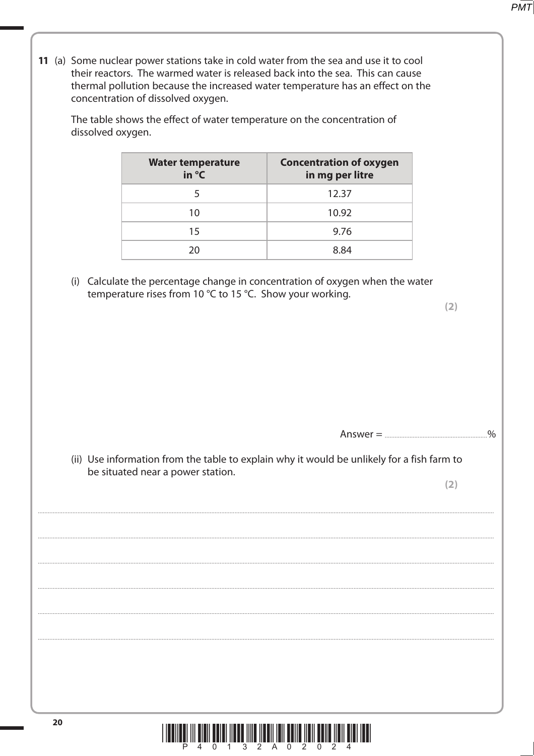11 (a) Some nuclear power stations take in cold water from the sea and use it to cool their reactors. The warmed water is released back into the sea. This can cause thermal pollution because the increased water temperature has an effect on the concentration of dissolved oxygen.

The table shows the effect of water temperature on the concentration of dissolved oxygen.

| <b>Water temperature</b><br>in $\mathrm{C}$ | <b>Concentration of oxygen</b><br>in mg per litre |
|---------------------------------------------|---------------------------------------------------|
|                                             | 12.37                                             |
| 10                                          | 10.92                                             |
| 15                                          | 9.76                                              |
| 20                                          | 8 84                                              |

(i) Calculate the percentage change in concentration of oxygen when the water temperature rises from 10 °C to 15 °C. Show your working.

> $\frac{0}{0}$

(ii) Use information from the table to explain why it would be unlikely for a fish farm to be situated near a power station.

 $(2)$ 

 $(2)$ 

**PMT** 

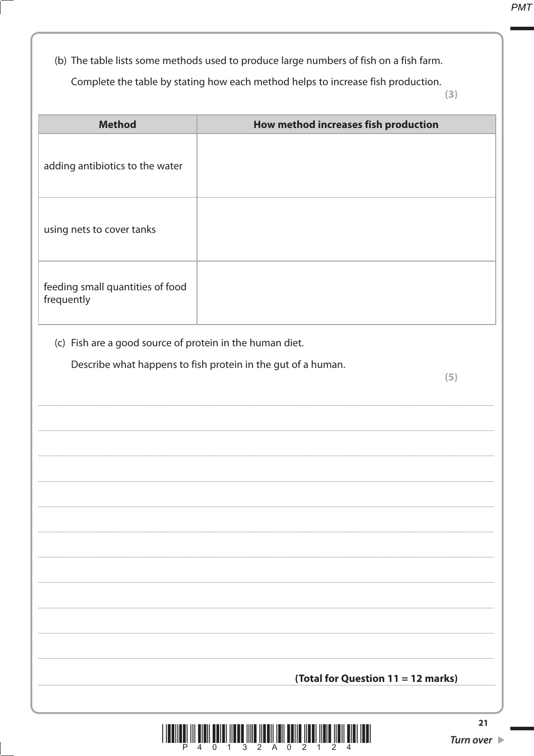(b) The table lists some methods used to produce large numbers of fish on a fish farm.

Complete the table by stating how each method helps to increase fish production.

 $(3)$ 

| <b>Method</b>                                            | How method increases fish production                                |
|----------------------------------------------------------|---------------------------------------------------------------------|
| adding antibiotics to the water                          |                                                                     |
| using nets to cover tanks                                |                                                                     |
| feeding small quantities of food<br>frequently           |                                                                     |
| (c) Fish are a good source of protein in the human diet. |                                                                     |
|                                                          | Describe what happens to fish protein in the gut of a human.<br>(5) |
|                                                          |                                                                     |
|                                                          |                                                                     |
|                                                          |                                                                     |
|                                                          |                                                                     |
|                                                          |                                                                     |
|                                                          |                                                                     |
|                                                          |                                                                     |
|                                                          |                                                                     |
|                                                          |                                                                     |
|                                                          | (Total for Question 11 = 12 marks)                                  |
|                                                          |                                                                     |

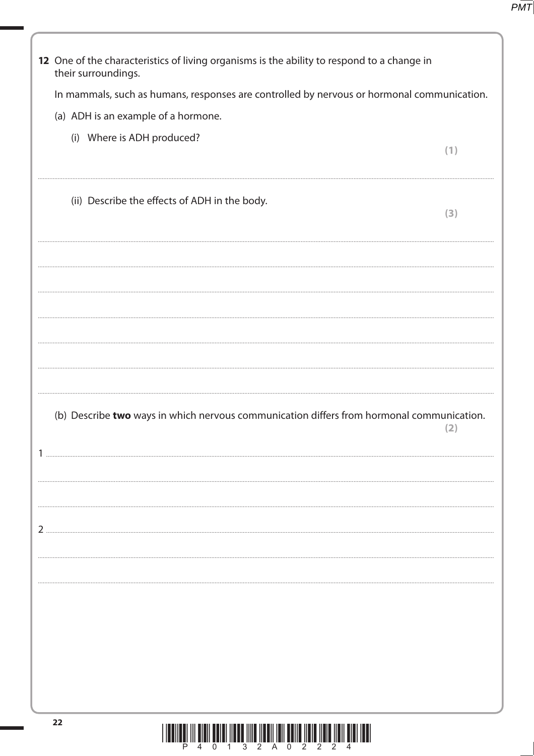| 12 One of the characteristics of living organisms is the ability to respond to a change in<br>their surroundings. |     |
|-------------------------------------------------------------------------------------------------------------------|-----|
| In mammals, such as humans, responses are controlled by nervous or hormonal communication.                        |     |
| (a) ADH is an example of a hormone.                                                                               |     |
| (i) Where is ADH produced?                                                                                        |     |
|                                                                                                                   | (1) |
| (ii) Describe the effects of ADH in the body.                                                                     | (3) |
|                                                                                                                   |     |
|                                                                                                                   |     |
| (b) Describe two ways in which nervous communication differs from hormonal communication.                         | 21  |
|                                                                                                                   |     |
|                                                                                                                   |     |
| 22<br><u> I I da ilaal ili alali aalal ilaad ilila ilaali lali aalla lidia ilala ilali alal laal</u>              |     |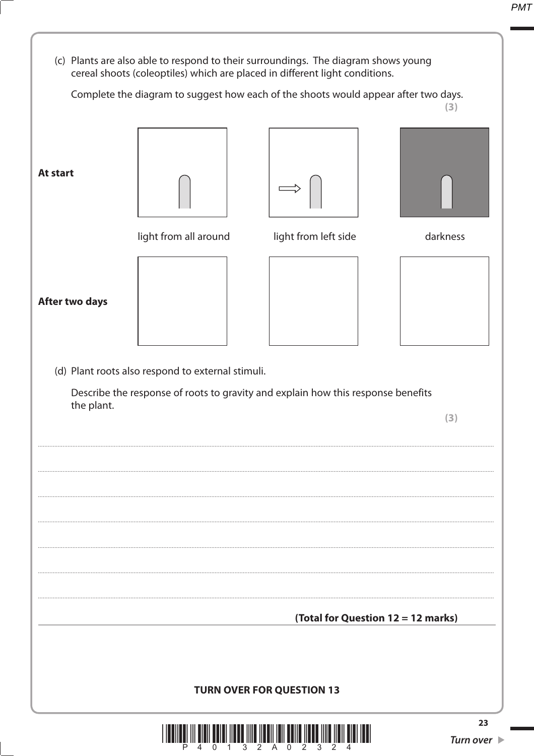

0 1 3 2 A 0 2 3 2